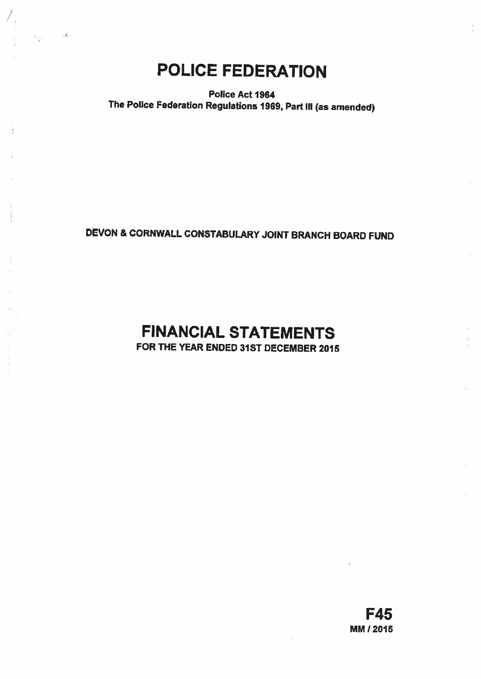## POLICE FEDERATION

 $\sim$ 

Police Act 1964 The Police Federation Regulations 1969, Part Ill (as amended)

## DEVON & CORNWALL CONSTABULARY JOINT BRANCH BOARD FUND

# FINANCIAL STATEMENTS

FOR THE YEAR ENDED 31ST DECEMBER 2015

F45 MM 12015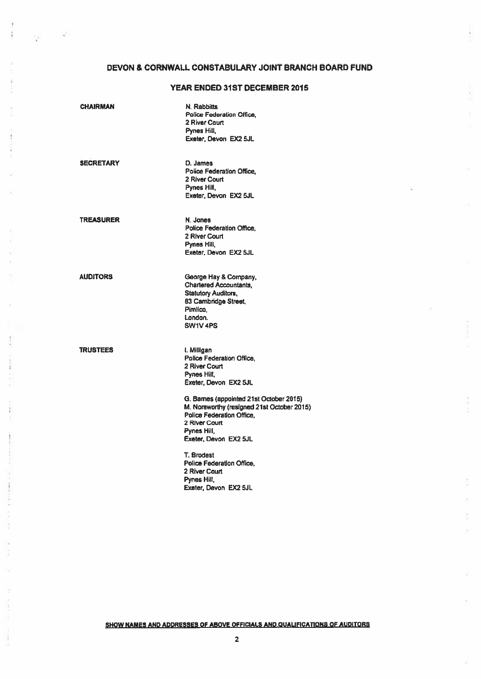## DEVON & CORNWALL CONSTABULARY JOINT BRANCH BOARD FUND

## YEAR ENDED 31ST DECEMBER 2015

| <b>CHAIRMAN</b>  | N. Rabbitts<br>Police Federation Office.<br>2 River Court<br>Pynes Hill,<br>Exeter, Devon EX2 5JL                                                                                                                                                                                |
|------------------|----------------------------------------------------------------------------------------------------------------------------------------------------------------------------------------------------------------------------------------------------------------------------------|
| <b>SECRETARY</b> | D. James<br>Police Federation Office.<br>2 River Court<br>Pynes Hill.<br>Exeter, Devon EX2 5JL                                                                                                                                                                                   |
| TREASURER        | N. Jones<br>Police Federation Office.<br>2 River Court<br>Pynes Hill,<br>Exeter, Devon EX2 5JL                                                                                                                                                                                   |
| AUDITORS         | George Hay & Company,<br><b>Chartered Accountants.</b><br><b>Statutory Auditors,</b><br>83 Cambridge Street,<br>Pimlico.<br>London.<br>SW1V <sub>4PS</sub>                                                                                                                       |
| <b>TRUSTEES</b>  | i. Milligan<br>Police Federation Office,<br>2 River Court<br>Pynes Hill.<br>Exeter, Devon EX2 5JL<br>G. Barnes (appointed 21st October 2015)<br>M. Norsworthy (resigned 21st October 2015)<br>Police Federation Office.<br>2 River Court<br>Pynes Hill,<br>Exeter, Devon EX2 5JL |
|                  | T. Brodest<br>Police Federation Office.<br>2 River Court<br>Pynes Hill,<br>Exater, Devon EX2 5JL                                                                                                                                                                                 |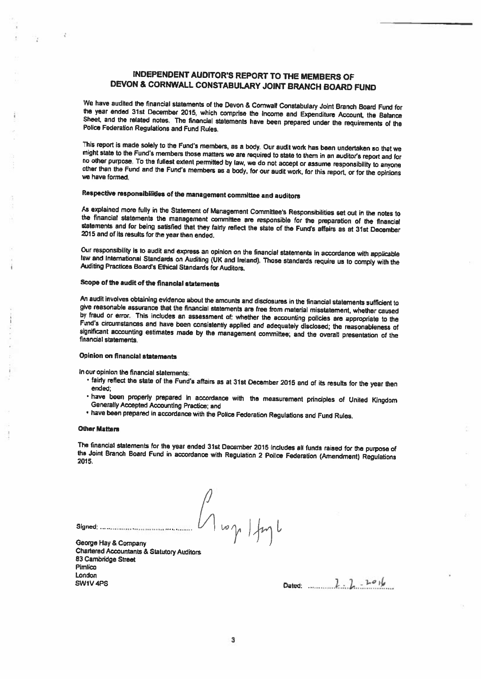## INDEPENDENT AUDITOR'S REPORT TO THE MEMBERS OF DEVON & CORNWALL CONSTABULARY JOINT BRANCH BOARD FUND

We have audited the financial statements of the Devon & Comwall Constabulary Joint Branch Board Fund for<br>the year ended 31st December 2015, which comprise the Income and Expenditure Account, the Balance<br>Sheet, and the rela

This report is made solely to the Fund's members, as a body. Our audit work has been undertaken so that we might state to the Fund's members those matters we are required to state to therm in an auditor's report and for no

## Respective responsIbilities of the management committee and auditors

As explained more fully in the Statement of Management Committee's Responsibilities set out in the notes to the financial statements the management committee are responsible for the preparation of the financial statements

Our responsibility is to audit and express an opinion on the financial statements in accordance with applicable<br>law and International Standards on Auditing (UK and Ireland). Those standards require us to comply with the<br>Au

## Scope of the audit of the financial statements

An audit involves obtaining evidence about the amounts and disclosures in the financial statements sufficient to<br>give reasonable assurance that the financial statements are free from material misstatement, whether caused by fraud or error. This includes an assessment of: whether the accounting policies are appropriate to the Fund's circumstances and have been consistently applied and adequately disclosed; the reasonableness of significant

## OpInion on financial statements

In our opinion the financial statements:

- fairly reflect the state of the Fund's affairs as at 31st December 2015 and of its results for the year then<br>\_ended;
- have been properly prepared in accordance with the measurement principles of United Kingdom<br>Generally Accepted Accounting Practice; and
- have been prepared in accordance with the Police Federation Regulations and Fund Rules.

 $\iint$ 

#### Other Matters

J.

The financial statements for the year ended 31st December <sup>2015</sup> includes all funds raised for the purpose of the Joint Branch Board Fund in accordance with Regulation <sup>2</sup> Police Federation (Amendment) Regulations 2015.

Signed' <sup>V</sup> 'y ) George Hay & Company

Chartered Accountants & Statutory Auditors 83 Cambridge Street Pimlico London  $304V4PS$  Dated:  $2.2.10V4P$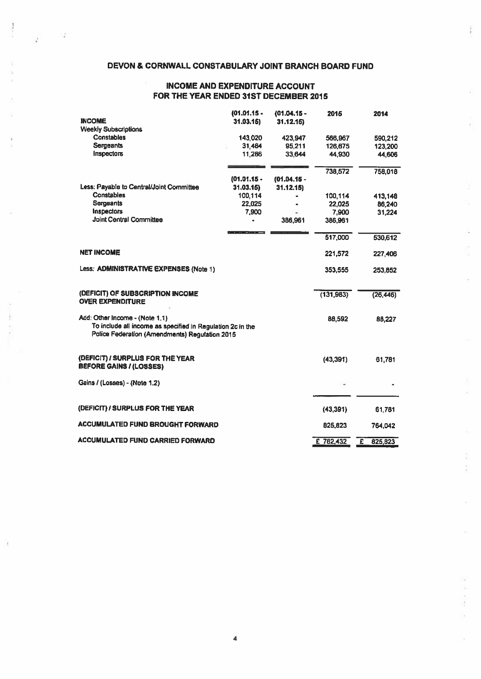## DEVON & CORNWALL CONSTABULARY JOINT BRANCH BOARD FUND

š.

К

÷,

Ŷ. Ş

ź ł

 $\frac{1}{2}$ 

 $\mathbb{C}^{\mathcal{A}}_{\mathbf{a}}$ 

 $\mathcal{L}^{\pm}$ 

## INCOME AND EXPENDITURE ACCOUNT FOR ThE YEAR ENDED 31ST DECEMBER 2015

| <b>INCOME</b>                                                                                                                                  | $(01.01.15 -$<br>31.03.15 | $(01.04.15 -$<br>31.12.15 | 2015       | 2014         |
|------------------------------------------------------------------------------------------------------------------------------------------------|---------------------------|---------------------------|------------|--------------|
| <b>Weekly Subscriptions</b>                                                                                                                    |                           |                           |            |              |
| <b>Constables</b>                                                                                                                              | 143,020                   | 423,947                   | 566,967    | 590.212      |
| Sergeants                                                                                                                                      | 31,464                    | 95,211                    | 126,675    | 123,200      |
| Inspectors                                                                                                                                     | 11,266                    | 33,644                    | 44,930     | 44,606       |
|                                                                                                                                                |                           |                           | 738,572    | 758,018      |
|                                                                                                                                                | $(01.01.15 -$             | $(01.04.15 -$             |            |              |
| Less: Payable to Central/Joint Committee                                                                                                       | 31.03.15                  | 31.12.15                  |            |              |
| <b>Constables</b>                                                                                                                              | 100.114                   |                           | 100,114    | 413.148      |
| Sergeants                                                                                                                                      | 22,025                    |                           | 22,025     | 86,240       |
| Inspectors                                                                                                                                     | 7,900                     |                           | 7.900      | 31,224       |
| <b>Joint Central Committee</b>                                                                                                                 | ۰                         | 386,961                   | 386,961    |              |
|                                                                                                                                                |                           |                           | 517,000    | 530,612      |
| <b>NET INCOME</b>                                                                                                                              |                           |                           | 221,572    | 227,406      |
| Less: ADMINISTRATIVE EXPENSES (Note 1)                                                                                                         |                           |                           | 353,555    | 253,852      |
| (DEFICIT) OF SUBSCRIPTION INCOME                                                                                                               |                           |                           | (131, 983) | (26, 446)    |
| <b>OVER EXPENDITURE</b>                                                                                                                        |                           |                           |            |              |
| Add: Other Income - (Note 1.1)<br>To include all income as specified in Regulation 2c in the<br>Police Federation (Amendments) Requlation 2015 |                           |                           | 88,592     | 88,227       |
| (DEFICIT) / SURPLUS FOR THE YEAR<br><b>BEFORE GAINS / (LOSSES)</b>                                                                             |                           |                           | (43, 391)  | 61,781       |
| Gains / (Losses) - (Note 1.2)                                                                                                                  |                           |                           |            |              |
|                                                                                                                                                |                           |                           |            |              |
| (DEFICIT) / SURPLUS FOR THE YEAR                                                                                                               |                           |                           | (43, 391)  | 61,781       |
| <b>ACCUMULATED FUND BROUGHT FORWARD</b>                                                                                                        |                           |                           | 825,823    | 764,042      |
| <b>ACCUMULATED FUND CARRIED FORWARD</b>                                                                                                        |                           |                           | £ 782,432  | Έ<br>825,823 |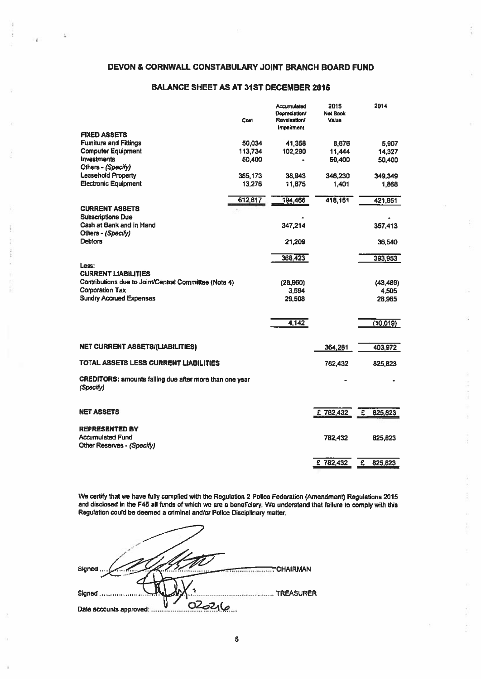## DEVON & CORNWALL CONSTABULARY JOINT BRANCH BOARD FUND

## BALANCE SHEET AS AT 31ST DECEMBER 2015

|                                                                                     | Cost    | <b>Accumulated</b><br>Depreciation/<br>Revaluation/<br>Impairment | 2015<br><b>Net Book</b><br>Value | 2014                               |
|-------------------------------------------------------------------------------------|---------|-------------------------------------------------------------------|----------------------------------|------------------------------------|
| <b>FIXED ASSETS</b>                                                                 |         |                                                                   |                                  |                                    |
| <b>Furniture and Fittings</b>                                                       | 50.034  | 41,358                                                            | 8,676                            | 5.907                              |
| <b>Computer Equipment</b>                                                           | 113.734 | 102,290                                                           | 11,444                           | 14,327                             |
| <b>Investments</b>                                                                  | 50,400  |                                                                   | 50,400                           | 50,400                             |
| Others - (Specify)                                                                  |         |                                                                   |                                  |                                    |
| <b>Leasehold Property</b>                                                           | 385,173 | 38,943                                                            | 346,230                          | 349,349                            |
| <b>Electronic Equipment</b>                                                         | 13,276  | 11,875                                                            | 1,401                            | 1,868                              |
|                                                                                     | 612,617 | 194,466                                                           | 418,151                          | 421,851                            |
| <b>CURRENT ASSETS</b>                                                               |         |                                                                   |                                  |                                    |
| <b>Subscriptions Due</b>                                                            |         |                                                                   |                                  |                                    |
| Cash at Bank and in Hand<br>Others - (Specify)                                      |         | 347,214                                                           |                                  | 357,413                            |
| <b>Debtors</b>                                                                      |         | 21,209                                                            |                                  | 36,540                             |
|                                                                                     |         |                                                                   |                                  |                                    |
|                                                                                     |         | 368,423                                                           |                                  | 393,953                            |
| Less:                                                                               |         |                                                                   |                                  |                                    |
| <b>CURRENT LIABILITIES</b><br>Contributions due to Joint/Central Committee (Note 4) |         |                                                                   |                                  |                                    |
| <b>Corporation Tax</b>                                                              |         | (28,960)<br>3.594                                                 |                                  | (43, 489)<br>4.505                 |
| <b>Sundry Accrued Expenses</b>                                                      |         | 29.508                                                            |                                  | 28,965                             |
|                                                                                     |         |                                                                   |                                  |                                    |
|                                                                                     |         | 4,142                                                             |                                  | (10,019)                           |
|                                                                                     |         |                                                                   |                                  |                                    |
| <b>NET CURRENT ASSETS/(LIABILITIES)</b>                                             |         |                                                                   | 364,281                          | 403,972                            |
| TOTAL ASSETS LESS CURRENT LIABILITIES                                               |         |                                                                   | 782.432                          | 825,823                            |
| CREDITORS: amounts falling due after more than one year<br>(Specify)                |         |                                                                   |                                  |                                    |
|                                                                                     |         |                                                                   |                                  |                                    |
| <b>NET ASSETS</b>                                                                   |         |                                                                   | £782,432                         | $\overline{\epsilon}$<br>825,823   |
| <b>REPRESENTED BY</b>                                                               |         |                                                                   |                                  |                                    |
| <b>Accumulated Fund</b>                                                             |         |                                                                   | 782,432                          | 825,823                            |
| Other Reserves - (Specify)                                                          |         |                                                                   |                                  |                                    |
|                                                                                     |         |                                                                   | £782,432                         | $\overline{\mathbf{f}}$<br>825,823 |
|                                                                                     |         |                                                                   |                                  |                                    |

ź

ä

ğ,

We certify that we have fully complied with the Regulation 2 Police Federation (Amendment) Regulations 2015 and disclosed in the F45 all funds of whIch we are <sup>a</sup> beneficiary. We understand that failure to comply with this Regulation could be deemed a criminal and/or Police Disciplinary matter.

| Signed<br><b>CHAIRMAN</b>  |
|----------------------------|
| <b>TREASURER</b><br>Signed |
| Date accounts approved:    |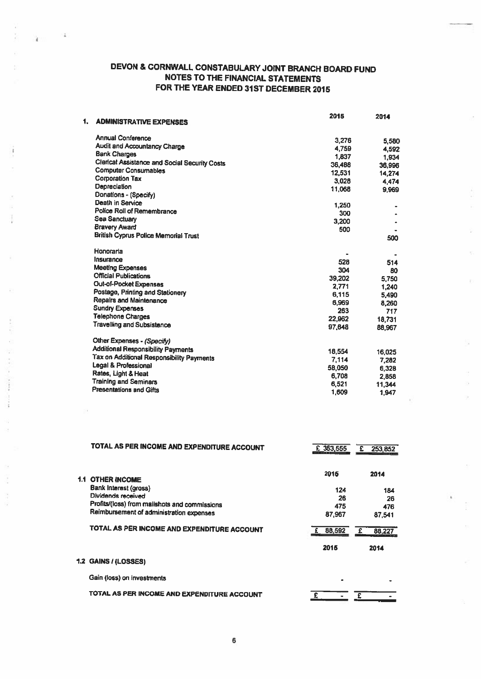## DEVON & CORNWALL CONSTABULARY JOINT BRANCH BOARD FUND NOTES TO THE FINANCIAL STATEMENTS FOR THE YEAR ENDED 31ST DECEMBER 2015

 $\leq$ 

¥

ł.

i.

| <b>ADMINISTRATIVE EXPENSES</b>                                                      | 2015   | 2014   |
|-------------------------------------------------------------------------------------|--------|--------|
| <b>Annual Conference</b>                                                            |        |        |
| <b>Audit and Accountancy Charge</b>                                                 | 3,276  | 5,580  |
| <b>Bank Charges</b>                                                                 | 4,759  | 4,592  |
|                                                                                     | 1.837  | 1,934  |
| <b>Clerical Assistance and Social Security Costs</b><br><b>Computer Consumables</b> | 36,488 | 36,996 |
| <b>Corporation Tax</b>                                                              | 12.531 | 14,274 |
|                                                                                     | 3,028  | 4,474  |
| Depreciation                                                                        | 11,068 | 9,969  |
| Donations - (Specify)                                                               |        |        |
| <b>Death in Service</b>                                                             | 1,250  |        |
| Police Roll of Remembrance                                                          | 300    |        |
| <b>Sea Sanctuary</b>                                                                | 3,200  |        |
| <b>Bravery Award</b>                                                                | 500    |        |
| British Cyprus Police Memorial Trust                                                |        | 500    |
| Honoraria                                                                           |        |        |
| Insurance                                                                           | 528    | 514    |
| <b>Meeting Expenses</b>                                                             | 304    | 80     |
| <b>Official Publications</b>                                                        | 39,202 | 5,750  |
| Out-of-Pocket Expenses                                                              | 2,771  | 1,240  |
| Postage, Printing and Stationery                                                    | 6,115  | 5,490  |
| <b>Repairs and Maintenance</b>                                                      | 6,969  | 8,260  |
| <b>Sundry Expenses</b>                                                              | 263    | 717    |
| <b>Telephone Charges</b>                                                            | 22,962 | 18.731 |
| <b>Travelling and Subsistence</b>                                                   | 97,648 | 88,967 |
|                                                                                     |        |        |
| Other Expenses - (Specify)                                                          |        |        |
| <b>Additional Responsibility Payments</b>                                           | 18.554 |        |
| Tax on Additional Responsibility Payments                                           |        | 16,025 |
| Legal & Professional                                                                | 7.114  | 7.282  |
| Rates, Light & Heat                                                                 | 58,050 | 6,328  |
| <b>Training and Seminars</b>                                                        | 6,708  | 2,858  |
| <b>Presentations and Gifts</b>                                                      | 6,521  | 11,344 |
|                                                                                     | 1,609  | 1,947  |

Ŏ

|     | TOTAL AS PER INCOME AND EXPENDITURE ACCOUNT   | $E$ 353,555 | £.<br>253,852 |
|-----|-----------------------------------------------|-------------|---------------|
| 1.1 | <b>OTHER INCOME</b>                           | 2015        | 2014          |
|     | Bank Interest (gross)                         | 124         | 184           |
|     | Dividends received                            | 26          | 26            |
|     | Profits/(loss) from mailshots and commissions | 475         | 476           |
|     | Reimbursement of administration expenses      | 87,967      | 87.541        |
|     | TOTAL AS PER INCOME AND EXPENDITURE ACCOUNT   | 88,592<br>£ | 88,227<br>£   |
|     |                                               | 2015        | 2014          |
|     | .2 GAINS / (LOSSES)                           |             |               |
|     | Gain (loss) on investments                    |             |               |
|     |                                               |             |               |

TOTAL AS PER INCOME AND EXPENDITURE ACCOUNT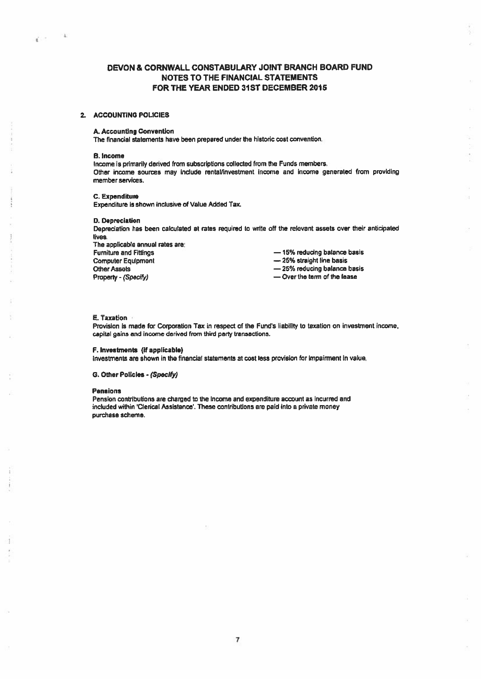## DEVON & CORNWALL CONSTABULARY JOINT BRANCH BOARD FUND NOTES TO THE FINANCIAL STATEMENTS FOR THE YEAR ENDED 31ST DECEMBER 2015

## 2. ACCOUNTING POLICIES

### A. Accounting Convention

The financial statements have been prepared under the historic cost convention.

#### B. Income

**NB** 

Č.

Income is primarily derived from subscriptions collected from the Funds members. Other income sources may include rental/investment income and income generated from providing member services.

#### C. Expenditure

Expenditure is shown inclusive of Value Added Tax.

#### D. Depreciation

Depreciation has been calculated at rates required to write off the relevant assets over their anticipated lives.

The applicable annual rates are: Furniture and Fittings — 15% reducing balance basis Computer Equipment **Example 25%** straight line basis Property - (Specify) examples a property - (Specify) and  $\sim$  Over the term of the lease

Other Assets **25% reducing balance basis** 25% reducing balance basis

#### E. Taxation

Provisicn is made for Corporation Tax in respec<sup>t</sup> of the Fund's liability to taxation on investment income, capital gains and income derived from third party transactions.

#### F. Investments (if applicable)

Investments are shown in the financial statements at cost less provision for impairment in value.

## 0. Other Policies - (Specify)

#### Pensions

Pension contributions are charged to the Income and expenditure account as incurred and included within 'Clerical Assistance'. These contributions are paid into a private money purchase scheme.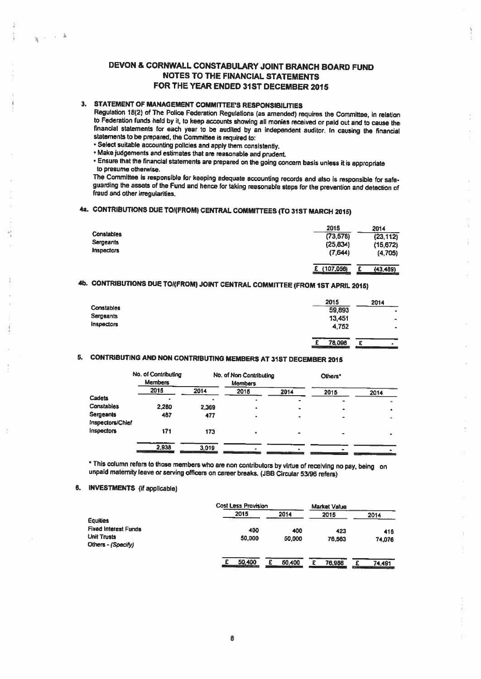## DEVON & CORNWALL CONSTABULARY JOINT BRANCH BOARD FUND NOTES TO THE FINANCIAL STATEMENTS FOR THE YEAR ENDED 31ST DECEMBER 2015

## 3. STATEMENT OF MANAGEMENT COMMITTEE'S RESPONSIBILITIES

 $x \rightarrow b$ 

Regulation 18(2) of The Police Federation Regulations (as amended) requires the Committee, in relation financial statements for each year to be audited by an independent auditor. In causing the financial statements to be prepared, the Committee is required to:

- Select suitable accounting policies and apply them consistently.
- Make judgements and estinates that are reasonable and prudent.

• Ensure that the financial statements are prepared on the going concem basis unless it is appropriate to presume otherwise.<br>The Committee is responsible for keeping adequate accounting records and also is responsible for safe-

guarding the assets of the Fund and hence for taking reasonable steps for the prevention and detection of fraud and other irregularities.

## 4a. CONTRIBUTIONS DUE TO/(FROM) CENTRAL COMMITTEES (TO 31ST MARCH 2015)

|            | 2015                 | 2014      |
|------------|----------------------|-----------|
| Constables | (73, 578)            | (23, 112) |
| Sergeants  | (25, 834)            | (15, 672) |
| Inspectors | (7,644)              | (4, 705)  |
|            |                      |           |
|            | (107,056)<br>£.<br>e | (43, 489) |

## 4b. CONTRIBUTIONS DUE TO/(FROM) JOINT CENTRAL COMMITTEE (FROM 1ST APRIL 2015)

|                   | 2015        | 2014                 |
|-------------------|-------------|----------------------|
| Constables        | 59,893      | $\blacksquare$       |
| Sergeants         | 13,451      | $\blacksquare$       |
| <b>Inspectors</b> | 4,752       | ۰                    |
|                   | 78.096<br>£ | r<br>$\bullet$<br>ж. |

## 5. CONTRIBUTING AND NON CONTRIBUTING MEMBERS AT 31ST DECEMBER <sup>2015</sup>

|                               | No. of Contributing<br><b>Members</b> |       | No. of Non Contributing<br><b>Members</b> |      | Others <sup>*</sup> |      |
|-------------------------------|---------------------------------------|-------|-------------------------------------------|------|---------------------|------|
|                               | 2015                                  | 2014  | 2015                                      | 2014 | 2015                | 2014 |
| Cadets                        |                                       |       | $\overline{a}$                            |      |                     |      |
| Constables                    | 2,280                                 | 2,369 | ٠                                         |      |                     |      |
| Sergeants<br>Inspectors/Chief | 487                                   | 477   | ۰                                         |      | ۰                   |      |
| Inspectors                    | 171                                   | 173   |                                           |      |                     |      |
|                               | 2.938                                 | 3.019 | <b>THE HALL</b>                           |      | ----                |      |

\* This column refers to those members who are non contributors by virtue of receiving no pay, being on unpaid maternity leave or serving officers on career breaks. (JBB Circular 53/96 refers)

## 5. INVESTMENTS (if applicable)

|                                                                         | <b>Cost Less Provision</b> |               | <b>Market Value</b> |                                    |
|-------------------------------------------------------------------------|----------------------------|---------------|---------------------|------------------------------------|
| Equities                                                                | 2015                       | 2014          | 2015                | 2014                               |
| <b>Fixed Interest Funds</b><br><b>Unit Trusts</b><br>Others - (Specify) | 400<br>50,000              | 400<br>50,000 | 423<br>76,563       | 415<br>74,076                      |
|                                                                         | 50,400                     | 50,400        | 76,986              | 74.491<br>$\overline{\phantom{a}}$ |